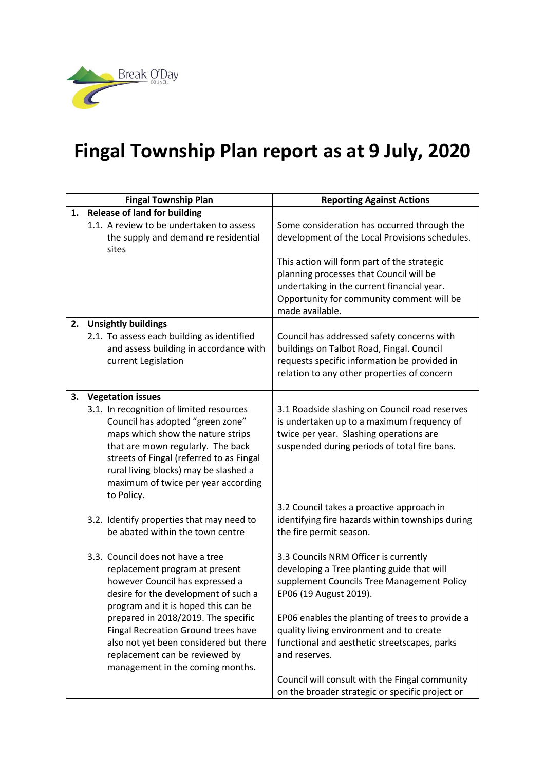

## **Fingal Township Plan report as at 9 July, 2020**

|    | <b>Fingal Township Plan</b>                                                                                                                                                                                                                                                                                                                                                         | <b>Reporting Against Actions</b>                                                                                                                                                                                                                                                                                                                                              |
|----|-------------------------------------------------------------------------------------------------------------------------------------------------------------------------------------------------------------------------------------------------------------------------------------------------------------------------------------------------------------------------------------|-------------------------------------------------------------------------------------------------------------------------------------------------------------------------------------------------------------------------------------------------------------------------------------------------------------------------------------------------------------------------------|
| 1. | <b>Release of land for building</b>                                                                                                                                                                                                                                                                                                                                                 |                                                                                                                                                                                                                                                                                                                                                                               |
|    | 1.1. A review to be undertaken to assess<br>the supply and demand re residential<br>sites                                                                                                                                                                                                                                                                                           | Some consideration has occurred through the<br>development of the Local Provisions schedules.                                                                                                                                                                                                                                                                                 |
|    |                                                                                                                                                                                                                                                                                                                                                                                     | This action will form part of the strategic<br>planning processes that Council will be<br>undertaking in the current financial year.<br>Opportunity for community comment will be<br>made available.                                                                                                                                                                          |
| 2. | <b>Unsightly buildings</b>                                                                                                                                                                                                                                                                                                                                                          |                                                                                                                                                                                                                                                                                                                                                                               |
|    | 2.1. To assess each building as identified<br>and assess building in accordance with<br>current Legislation                                                                                                                                                                                                                                                                         | Council has addressed safety concerns with<br>buildings on Talbot Road, Fingal. Council<br>requests specific information be provided in<br>relation to any other properties of concern                                                                                                                                                                                        |
| 3. | <b>Vegetation issues</b>                                                                                                                                                                                                                                                                                                                                                            |                                                                                                                                                                                                                                                                                                                                                                               |
|    | 3.1. In recognition of limited resources<br>Council has adopted "green zone"<br>maps which show the nature strips<br>that are mown regularly. The back<br>streets of Fingal (referred to as Fingal<br>rural living blocks) may be slashed a<br>maximum of twice per year according<br>to Policy.                                                                                    | 3.1 Roadside slashing on Council road reserves<br>is undertaken up to a maximum frequency of<br>twice per year. Slashing operations are<br>suspended during periods of total fire bans.                                                                                                                                                                                       |
|    | 3.2. Identify properties that may need to<br>be abated within the town centre                                                                                                                                                                                                                                                                                                       | 3.2 Council takes a proactive approach in<br>identifying fire hazards within townships during<br>the fire permit season.                                                                                                                                                                                                                                                      |
|    | 3.3. Council does not have a tree<br>replacement program at present<br>however Council has expressed a<br>desire for the development of such a<br>program and it is hoped this can be<br>prepared in 2018/2019. The specific<br>Fingal Recreation Ground trees have<br>also not yet been considered but there<br>replacement can be reviewed by<br>management in the coming months. | 3.3 Councils NRM Officer is currently<br>developing a Tree planting guide that will<br>supplement Councils Tree Management Policy<br>EP06 (19 August 2019).<br>EP06 enables the planting of trees to provide a<br>quality living environment and to create<br>functional and aesthetic streetscapes, parks<br>and reserves.<br>Council will consult with the Fingal community |
|    |                                                                                                                                                                                                                                                                                                                                                                                     | on the broader strategic or specific project or                                                                                                                                                                                                                                                                                                                               |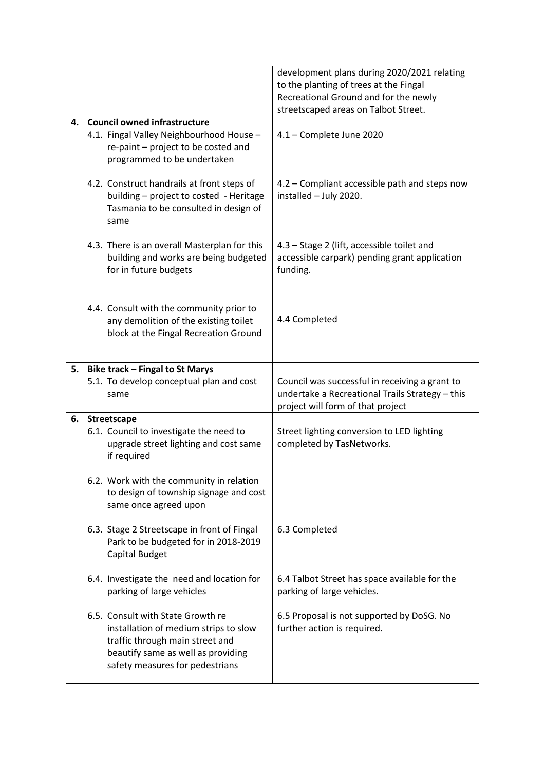|    |                                                                                                                                                                                        | development plans during 2020/2021 relating<br>to the planting of trees at the Fingal<br>Recreational Ground and for the newly<br>streetscaped areas on Talbot Street. |
|----|----------------------------------------------------------------------------------------------------------------------------------------------------------------------------------------|------------------------------------------------------------------------------------------------------------------------------------------------------------------------|
| 4. | <b>Council owned infrastructure</b><br>4.1. Fingal Valley Neighbourhood House -<br>re-paint - project to be costed and<br>programmed to be undertaken                                  | 4.1 - Complete June 2020                                                                                                                                               |
|    | 4.2. Construct handrails at front steps of<br>building - project to costed - Heritage<br>Tasmania to be consulted in design of<br>same                                                 | 4.2 - Compliant accessible path and steps now<br>installed - July 2020.                                                                                                |
|    | 4.3. There is an overall Masterplan for this<br>building and works are being budgeted<br>for in future budgets                                                                         | 4.3 - Stage 2 (lift, accessible toilet and<br>accessible carpark) pending grant application<br>funding.                                                                |
|    | 4.4. Consult with the community prior to<br>any demolition of the existing toilet<br>block at the Fingal Recreation Ground                                                             | 4.4 Completed                                                                                                                                                          |
| 5. | <b>Bike track - Fingal to St Marys</b>                                                                                                                                                 |                                                                                                                                                                        |
|    | 5.1. To develop conceptual plan and cost<br>same                                                                                                                                       | Council was successful in receiving a grant to<br>undertake a Recreational Trails Strategy - this<br>project will form of that project                                 |
| 6. | Streetscape                                                                                                                                                                            |                                                                                                                                                                        |
|    | 6.1. Council to investigate the need to<br>upgrade street lighting and cost same<br>if required                                                                                        | Street lighting conversion to LED lighting<br>completed by TasNetworks.                                                                                                |
|    | 6.2. Work with the community in relation<br>to design of township signage and cost<br>same once agreed upon                                                                            |                                                                                                                                                                        |
|    | 6.3. Stage 2 Streetscape in front of Fingal<br>Park to be budgeted for in 2018-2019<br>Capital Budget                                                                                  | 6.3 Completed                                                                                                                                                          |
|    | 6.4. Investigate the need and location for<br>parking of large vehicles                                                                                                                | 6.4 Talbot Street has space available for the<br>parking of large vehicles.                                                                                            |
|    | 6.5. Consult with State Growth re<br>installation of medium strips to slow<br>traffic through main street and<br>beautify same as well as providing<br>safety measures for pedestrians | 6.5 Proposal is not supported by DoSG. No<br>further action is required.                                                                                               |